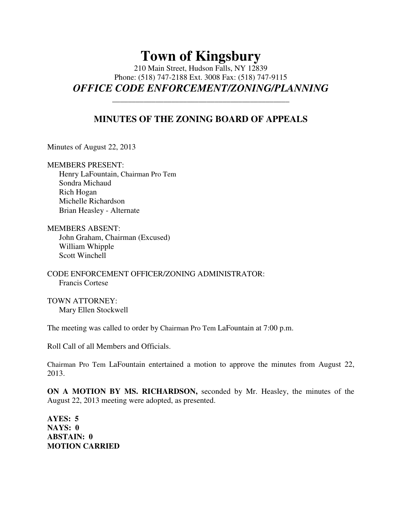## **Town of Kingsbury**

210 Main Street, Hudson Falls, NY 12839 Phone: (518) 747-2188 Ext. 3008 Fax: (518) 747-9115 **OFFICE CODE ENFORCEMENT/ZONING/PLANNING** 

## **MINUTES OF THE ZONING BOARD OF APPEALS**

**\_\_\_\_\_\_\_\_\_\_\_\_\_\_\_\_\_\_\_\_\_\_\_\_\_\_\_\_\_\_\_\_\_\_\_\_\_\_\_\_\_\_\_\_\_** 

Minutes of August 22, 2013

MEMBERS PRESENT:

 Henry LaFountain, Chairman Pro Tem Sondra Michaud Rich Hogan Michelle Richardson Brian Heasley - Alternate

MEMBERS ABSENT: John Graham, Chairman (Excused) William Whipple Scott Winchell

CODE ENFORCEMENT OFFICER/ZONING ADMINISTRATOR: Francis Cortese

TOWN ATTORNEY: Mary Ellen Stockwell

The meeting was called to order by Chairman Pro Tem LaFountain at 7:00 p.m.

Roll Call of all Members and Officials.

Chairman Pro Tem LaFountain entertained a motion to approve the minutes from August 22, 2013.

**ON A MOTION BY MS. RICHARDSON,** seconded by Mr. Heasley, the minutes of the August 22, 2013 meeting were adopted, as presented.

**AYES: 5 NAYS: 0 ABSTAIN: 0 MOTION CARRIED**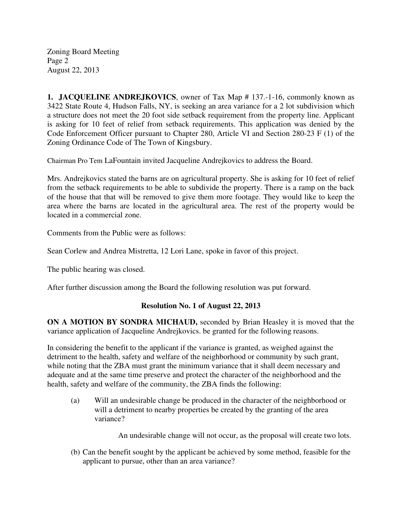Zoning Board Meeting Page 2 August 22, 2013

**1. JACQUELINE ANDREJKOVICS**, owner of Tax Map # 137.-1-16, commonly known as 3422 State Route 4, Hudson Falls, NY, is seeking an area variance for a 2 lot subdivision which a structure does not meet the 20 foot side setback requirement from the property line. Applicant is asking for 10 feet of relief from setback requirements. This application was denied by the Code Enforcement Officer pursuant to Chapter 280, Article VI and Section 280-23 F (1) of the Zoning Ordinance Code of The Town of Kingsbury.

Chairman Pro Tem LaFountain invited Jacqueline Andrejkovics to address the Board.

Mrs. Andrejkovics stated the barns are on agricultural property. She is asking for 10 feet of relief from the setback requirements to be able to subdivide the property. There is a ramp on the back of the house that that will be removed to give them more footage. They would like to keep the area where the barns are located in the agricultural area. The rest of the property would be located in a commercial zone.

Comments from the Public were as follows:

Sean Corlew and Andrea Mistretta, 12 Lori Lane, spoke in favor of this project.

The public hearing was closed.

After further discussion among the Board the following resolution was put forward.

## **Resolution No. 1 of August 22, 2013**

**ON A MOTION BY SONDRA MICHAUD,** seconded by Brian Heasley it is moved that the variance application of Jacqueline Andrejkovics. be granted for the following reasons.

In considering the benefit to the applicant if the variance is granted, as weighed against the detriment to the health, safety and welfare of the neighborhood or community by such grant, while noting that the ZBA must grant the minimum variance that it shall deem necessary and adequate and at the same time preserve and protect the character of the neighborhood and the health, safety and welfare of the community, the ZBA finds the following:

 (a) Will an undesirable change be produced in the character of the neighborhood or will a detriment to nearby properties be created by the granting of the area variance?

An undesirable change will not occur, as the proposal will create two lots.

(b) Can the benefit sought by the applicant be achieved by some method, feasible for the applicant to pursue, other than an area variance?